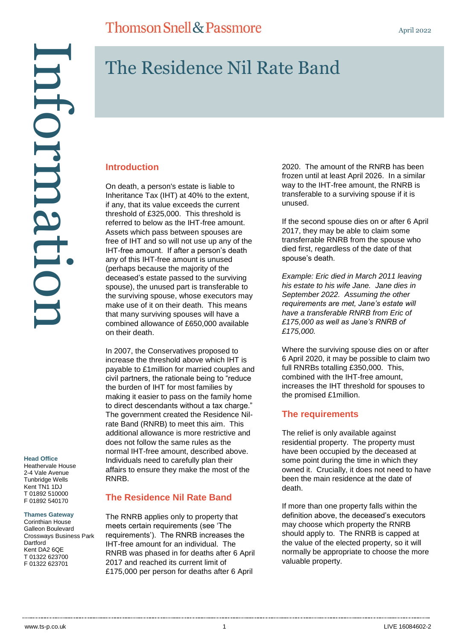#### **Head Office**

Heathervale House 2-4 Vale Avenue Tunbridge Wells Kent TN1 1DJ T 01892 510000 F 01892 540170

#### **Thames Gateway**

Corinthian House Galleon Boulevard Crossways Business Park **Dartford** Kent DA2 6QE T 01322 623700 F 01322 623701

## **Introduction**

On death, a person's estate is liable to Inheritance Tax (IHT) at 40% to the extent, if any, that its value exceeds the current threshold of £325,000. This threshold is referred to below as the IHT-free amount. Assets which pass between spouses are free of IHT and so will not use up any of the IHT-free amount. If after a person's death any of this IHT-free amount is unused (perhaps because the majority of the deceased's estate passed to the surviving spouse), the unused part is transferable to the surviving spouse, whose executors may make use of it on their death. This means that many surviving spouses will have a combined allowance of £650,000 available on their death.

In 2007, the Conservatives proposed to increase the threshold above which IHT is payable to £1million for married couples and civil partners, the rationale being to "reduce the burden of IHT for most families by making it easier to pass on the family home to direct descendants without a tax charge." The government created the Residence Nilrate Band (RNRB) to meet this aim. This additional allowance is more restrictive and does not follow the same rules as the normal IHT-free amount, described above. Individuals need to carefully plan their affairs to ensure they make the most of the RNRB.

### **The Residence Nil Rate Band**

The RNRB applies only to property that meets certain requirements (see 'The requirements'). The RNRB increases the IHT-free amount for an individual. The RNRB was phased in for deaths after 6 April 2017 and reached its current limit of £175,000 per person for deaths after 6 April

2020. The amount of the RNRB has been frozen until at least April 2026. In a similar way to the IHT-free amount, the RNRB is transferable to a surviving spouse if it is unused.

If the second spouse dies on or after 6 April 2017, they may be able to claim some transferrable RNRB from the spouse who died first, regardless of the date of that spouse's death.

*Example: Eric died in March 2011 leaving his estate to his wife Jane. Jane dies in September 2022. Assuming the other requirements are met, Jane's estate will have a transferable RNRB from Eric of £175,000 as well as Jane's RNRB of £175,000.*

Where the surviving spouse dies on or after 6 April 2020, it may be possible to claim two full RNRBs totalling £350,000. This, combined with the IHT-free amount, increases the IHT threshold for spouses to the promised £1million.

### **The requirements**

The relief is only available against residential property. The property must have been occupied by the deceased at some point during the time in which they owned it. Crucially, it does not need to have been the main residence at the date of death.

If more than one property falls within the definition above, the deceased's executors may choose which property the RNRB should apply to. The RNRB is capped at the value of the elected property, so it will normally be appropriate to choose the more valuable property.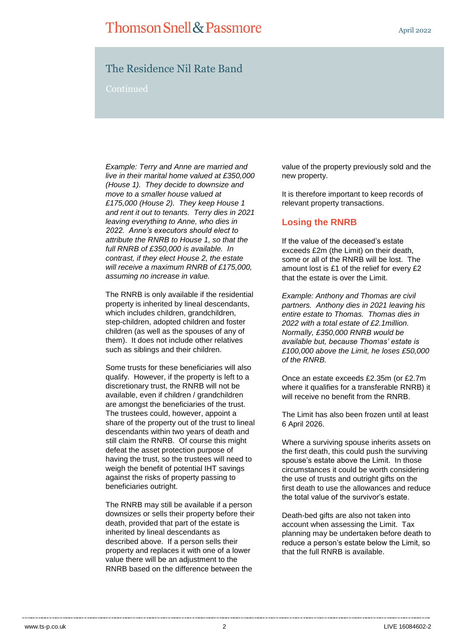# The Residence Nil Rate Band

**Continued** 

*Example: Terry and Anne are married and live in their marital home valued at £350,000 (House 1). They decide to downsize and move to a smaller house valued at £175,000 (House 2). They keep House 1 and rent it out to tenants. Terry dies in 2021 leaving everything to Anne, who dies in 2022. Anne's executors should elect to attribute the RNRB to House 1, so that the full RNRB of £350,000 is available. In contrast, if they elect House 2, the estate will receive a maximum RNRB of £175,000, assuming no increase in value.*

The RNRB is only available if the residential property is inherited by lineal descendants, which includes children, grandchildren, step-children, adopted children and foster children (as well as the spouses of any of them). It does not include other relatives such as siblings and their children.

Some trusts for these beneficiaries will also qualify. However, if the property is left to a discretionary trust, the RNRB will not be available, even if children / grandchildren are amongst the beneficiaries of the trust. The trustees could, however, appoint a share of the property out of the trust to lineal descendants within two years of death and still claim the RNRB. Of course this might defeat the asset protection purpose of having the trust, so the trustees will need to weigh the benefit of potential IHT savings against the risks of property passing to beneficiaries outright.

The RNRB may still be available if a person downsizes or sells their property before their death, provided that part of the estate is inherited by lineal descendants as described above. If a person sells their property and replaces it with one of a lower value there will be an adjustment to the RNRB based on the difference between the

value of the property previously sold and the new property.

It is therefore important to keep records of relevant property transactions.

### **Losing the RNRB**

If the value of the deceased's estate exceeds £2m (the Limit) on their death, some or all of the RNRB will be lost. The amount lost is £1 of the relief for every £2 that the estate is over the Limit.

*Example: Anthony and Thomas are civil partners. Anthony dies in 2021 leaving his entire estate to Thomas. Thomas dies in 2022 with a total estate of £2.1million. Normally, £350,000 RNRB would be available but, because Thomas' estate is £100,000 above the Limit, he loses £50,000 of the RNRB.*

Once an estate exceeds £2.35m (or £2.7m where it qualifies for a transferable RNRB) it will receive no benefit from the RNRB.

The Limit has also been frozen until at least 6 April 2026.

Where a surviving spouse inherits assets on the first death, this could push the surviving spouse's estate above the Limit. In those circumstances it could be worth considering the use of trusts and outright gifts on the first death to use the allowances and reduce the total value of the survivor's estate.

Death-bed gifts are also not taken into account when assessing the Limit. Tax planning may be undertaken before death to reduce a person's estate below the Limit, so that the full RNRB is available.